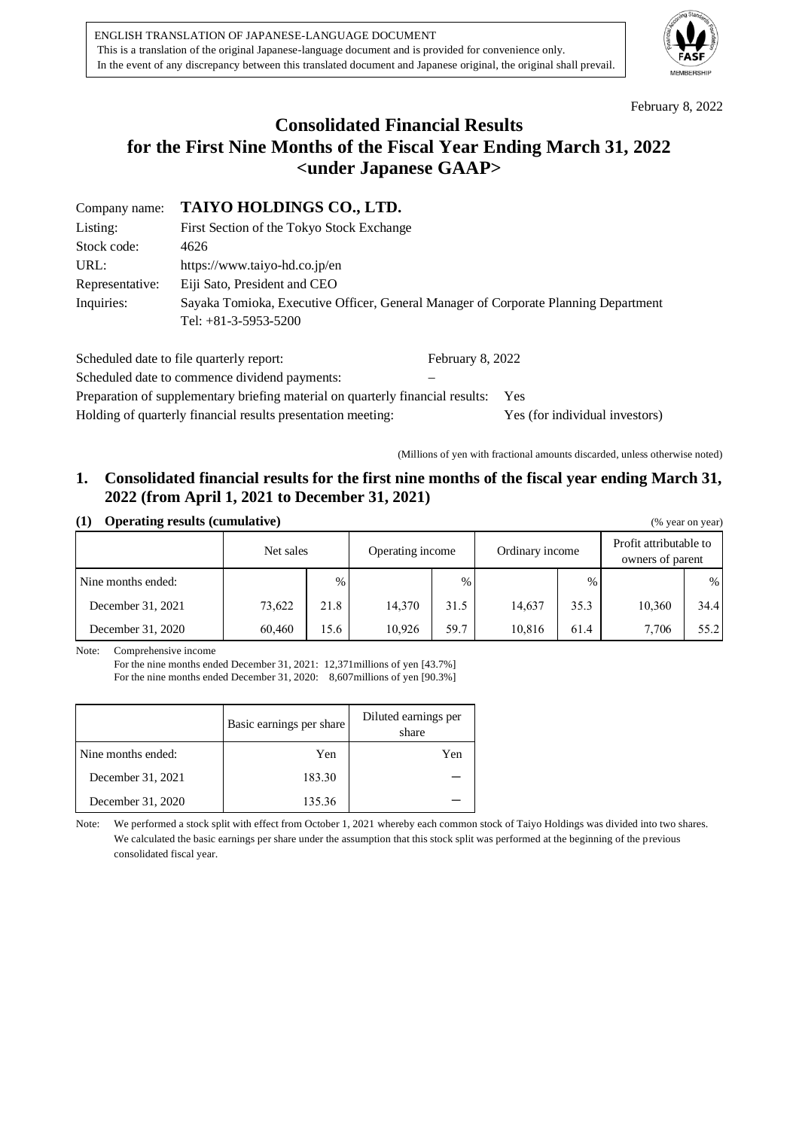

February 8, 2022

# **Consolidated Financial Results for the First Nine Months of the Fiscal Year Ending March 31, 2022 <under Japanese GAAP>**

Company name: **TAIYO HOLDINGS CO., LTD.**

| Listing:        | First Section of the Tokyo Stock Exchange                                                                     |
|-----------------|---------------------------------------------------------------------------------------------------------------|
| Stock code:     | 4626                                                                                                          |
| URL:            | https://www.taiyo-hd.co.jp/en                                                                                 |
| Representative: | Eiji Sato, President and CEO                                                                                  |
| Inquiries:      | Sayaka Tomioka, Executive Officer, General Manager of Corporate Planning Department<br>Tel: $+81-3-5953-5200$ |

| Scheduled date to file quarterly report:                                       | February 8, 2022 |                                |
|--------------------------------------------------------------------------------|------------------|--------------------------------|
| Scheduled date to commence dividend payments:                                  |                  |                                |
| Preparation of supplementary briefing material on quarterly financial results: |                  | Yes                            |
| Holding of quarterly financial results presentation meeting:                   |                  | Yes (for individual investors) |

(Millions of yen with fractional amounts discarded, unless otherwise noted)

# **1. Consolidated financial results for the first nine months of the fiscal year ending March 31, 2022 (from April 1, 2021 to December 31, 2021)**

| (1) Operating results (cumulative) | (% year on year) |
|------------------------------------|------------------|
|                                    |                  |

| $\cdot$ – $\cdot$  |           |               |                                     |               |        |               |                                            |      |
|--------------------|-----------|---------------|-------------------------------------|---------------|--------|---------------|--------------------------------------------|------|
|                    | Net sales |               | Operating income<br>Ordinary income |               |        |               | Profit attributable to<br>owners of parent |      |
| Nine months ended: |           | $\frac{0}{0}$ |                                     | $\frac{0}{0}$ |        | $\frac{0}{0}$ |                                            | $\%$ |
| December 31, 2021  | 73,622    | 21.8          | 14,370                              | 31.5          | 14.637 | 35.3          | 10,360                                     | 34.4 |
| December 31, 2020  | 60,460    | 15.6          | 10,926                              | 59.7          | 10,816 | 61.4          | 7.706                                      | 55.2 |

Note: Comprehensive income

For the nine months ended December 31, 2021: 12,371millions of yen [43.7%] For the nine months ended December 31, 2020: 8,607millions of yen [90.3%]

|                    | Basic earnings per share | Diluted earnings per<br>share |
|--------------------|--------------------------|-------------------------------|
| Nine months ended: | Yen                      | Yen                           |
| December 31, 2021  | 183.30                   |                               |
| December 31, 2020  | 135.36                   |                               |

Note: We performed a stock split with effect from October 1, 2021 whereby each common stock of Taiyo Holdings was divided into two shares. We calculated the basic earnings per share under the assumption that this stock split was performed at the beginning of the previous consolidated fiscal year.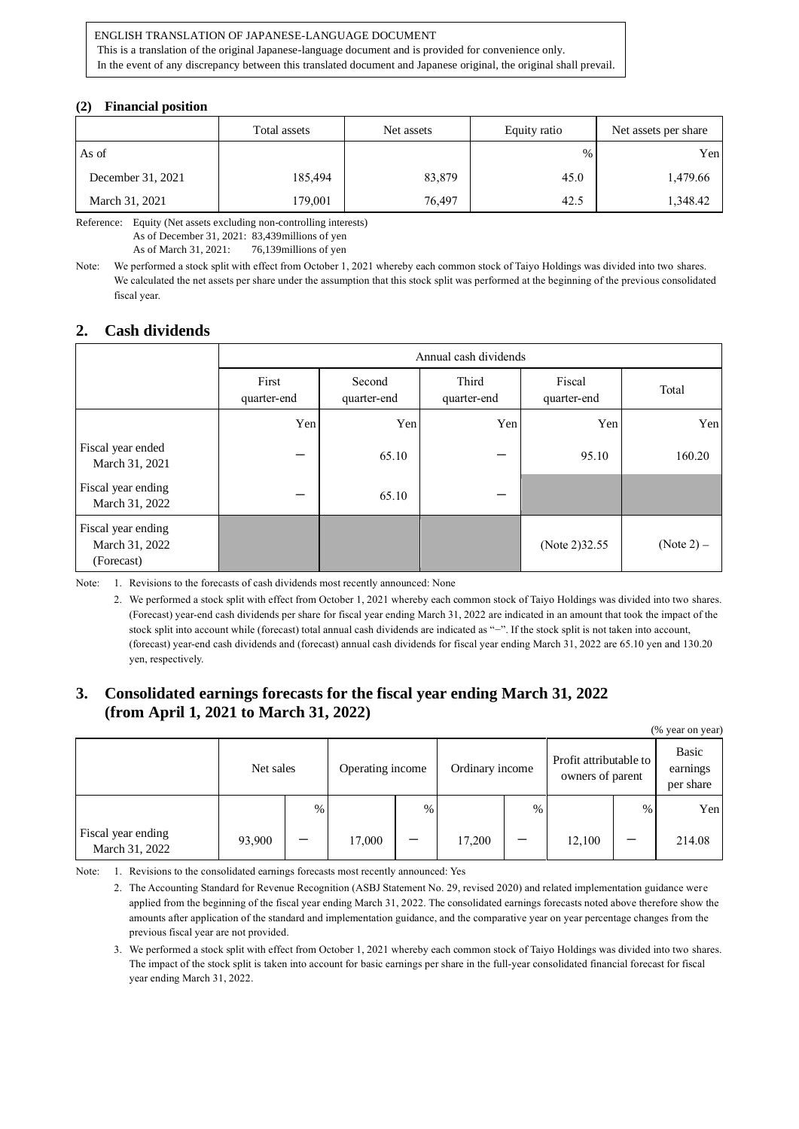#### ENGLISH TRANSLATION OF JAPANESE-LANGUAGE DOCUMENT

This is a translation of the original Japanese-language document and is provided for convenience only.

In the event of any discrepancy between this translated document and Japanese original, the original shall prevail.

#### **(2) Financial position**

|                   | Total assets | Net assets | Equity ratio | Net assets per share |
|-------------------|--------------|------------|--------------|----------------------|
| As of             |              |            | $\%$         | Yen                  |
| December 31, 2021 | 185,494      | 83,879     | 45.0         | 1,479.66             |
| March 31, 2021    | 179,001      | 76,497     | 42.5         | 1,348.42             |

Reference: Equity (Net assets excluding non-controlling interests)

As of December 31, 2021: 83,439millions of yen

As of March 31, 2021: 76,139millions of yen

Note: We performed a stock split with effect from October 1, 2021 whereby each common stock of Taiyo Holdings was divided into two shares. We calculated the net assets per share under the assumption that this stock split was performed at the beginning of the previous consolidated fiscal year.

### **2. Cash dividends**

|                                                    |                      | Annual cash dividends |                      |                       |              |  |
|----------------------------------------------------|----------------------|-----------------------|----------------------|-----------------------|--------------|--|
|                                                    | First<br>quarter-end | Second<br>quarter-end | Third<br>quarter-end | Fiscal<br>quarter-end | Total        |  |
|                                                    | Yen                  | Yen                   | Yen                  | Yen                   | Yen          |  |
| Fiscal year ended<br>March 31, 2021                |                      | 65.10                 |                      | 95.10                 | 160.20       |  |
| Fiscal year ending<br>March 31, 2022               |                      | 65.10                 |                      |                       |              |  |
| Fiscal year ending<br>March 31, 2022<br>(Forecast) |                      |                       |                      | (Note 2) 32.55        | $(Note 2) -$ |  |

Note: 1. Revisions to the forecasts of cash dividends most recently announced: None

2. We performed a stock split with effect from October 1, 2021 whereby each common stock of Taiyo Holdings was divided into two shares. (Forecast) year-end cash dividends per share for fiscal year ending March 31, 2022 are indicated in an amount that took the impact of the stock split into account while (forecast) total annual cash dividends are indicated as "−". If the stock split is not taken into account, (forecast) year-end cash dividends and (forecast) annual cash dividends for fiscal year ending March 31, 2022 are 65.10 yen and 130.20 yen, respectively.

### **3. Consolidated earnings forecasts for the fiscal year ending March 31, 2022 (from April 1, 2021 to March 31, 2022)**

| (% year on year)                     |           |      |        |                                     |        |      |                                            |      |                                |
|--------------------------------------|-----------|------|--------|-------------------------------------|--------|------|--------------------------------------------|------|--------------------------------|
|                                      | Net sales |      |        | Operating income<br>Ordinary income |        |      | Profit attributable to<br>owners of parent |      | Basic<br>earnings<br>per share |
|                                      |           | $\%$ |        | $\%$                                |        | $\%$ |                                            | $\%$ | Yen                            |
| Fiscal year ending<br>March 31, 2022 | 93,900    | –    | 17,000 |                                     | 17,200 |      | 12,100                                     |      | 214.08                         |

Note: 1. Revisions to the consolidated earnings forecasts most recently announced: Yes

2. The Accounting Standard for Revenue Recognition (ASBJ Statement No. 29, revised 2020) and related implementation guidance were applied from the beginning of the fiscal year ending March 31, 2022. The consolidated earnings forecasts noted above therefore show the amounts after application of the standard and implementation guidance, and the comparative year on year percentage changes from the previous fiscal year are not provided.

3. We performed a stock split with effect from October 1, 2021 whereby each common stock of Taiyo Holdings was divided into two shares. The impact of the stock split is taken into account for basic earnings per share in the full-year consolidated financial forecast for fiscal year ending March 31, 2022.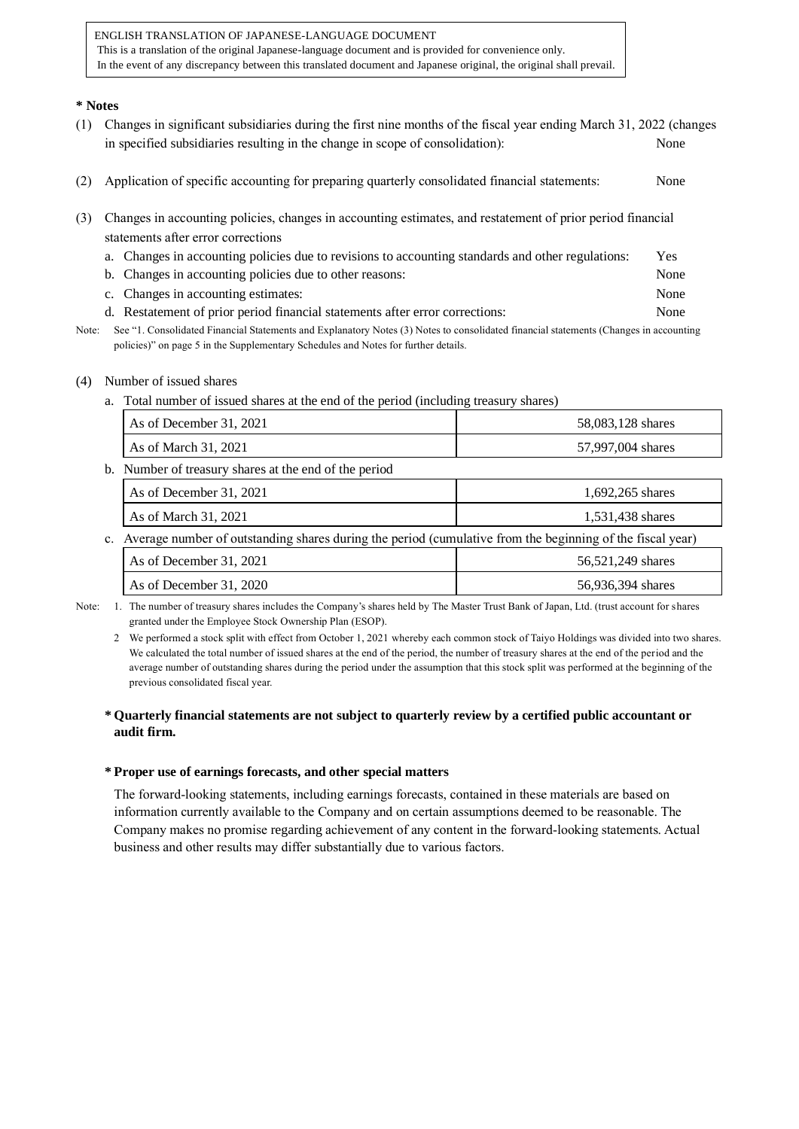### **\* Notes**

- (1) Changes in significant subsidiaries during the first nine months of the fiscal year ending March 31, 2022 (changes in specified subsidiaries resulting in the change in scope of consolidation): None
- (2) Application of specific accounting for preparing quarterly consolidated financial statements: None
- (3) Changes in accounting policies, changes in accounting estimates, and restatement of prior period financial statements after error corrections
	- a. Changes in accounting policies due to revisions to accounting standards and other regulations: Yes
	- b. Changes in accounting policies due to other reasons: None
	- c. Changes in accounting estimates: None
	- d. Restatement of prior period financial statements after error corrections: None
- Note: See "1. Consolidated Financial Statements and Explanatory Notes (3) Notes to consolidated financial statements (Changes in accounting policies)" on page 5 in the Supplementary Schedules and Notes for further details.

### (4) Number of issued shares

a. Total number of issued shares at the end of the period (including treasury shares)

| As of December 31, 2021                                                                                      | 58,083,128 shares |
|--------------------------------------------------------------------------------------------------------------|-------------------|
| As of March 31, 2021                                                                                         | 57,997,004 shares |
| b. Number of treasury shares at the end of the period                                                        |                   |
| As of December 31, 2021                                                                                      | 1,692,265 shares  |
| As of March 31, 2021                                                                                         | 1,531,438 shares  |
| c. Average number of outstanding shares during the period (cumulative from the beginning of the fiscal year) |                   |
| As of December 31, 2021                                                                                      | 56,521,249 shares |
| As of December 31, 2020                                                                                      | 56,936,394 shares |

Note: 1. The number of treasury shares includes the Company's shares held by The Master Trust Bank of Japan, Ltd. (trust account for shares granted under the Employee Stock Ownership Plan (ESOP).

2 We performed a stock split with effect from October 1, 2021 whereby each common stock of Taiyo Holdings was divided into two shares. We calculated the total number of issued shares at the end of the period, the number of treasury shares at the end of the period and the average number of outstanding shares during the period under the assumption that this stock split was performed at the beginning of the previous consolidated fiscal year.

### **\* Quarterly financial statements are not subject to quarterly review by a certified public accountant or audit firm.**

### **\* Proper use of earnings forecasts, and other special matters**

The forward-looking statements, including earnings forecasts, contained in these materials are based on information currently available to the Company and on certain assumptions deemed to be reasonable. The Company makes no promise regarding achievement of any content in the forward-looking statements. Actual business and other results may differ substantially due to various factors.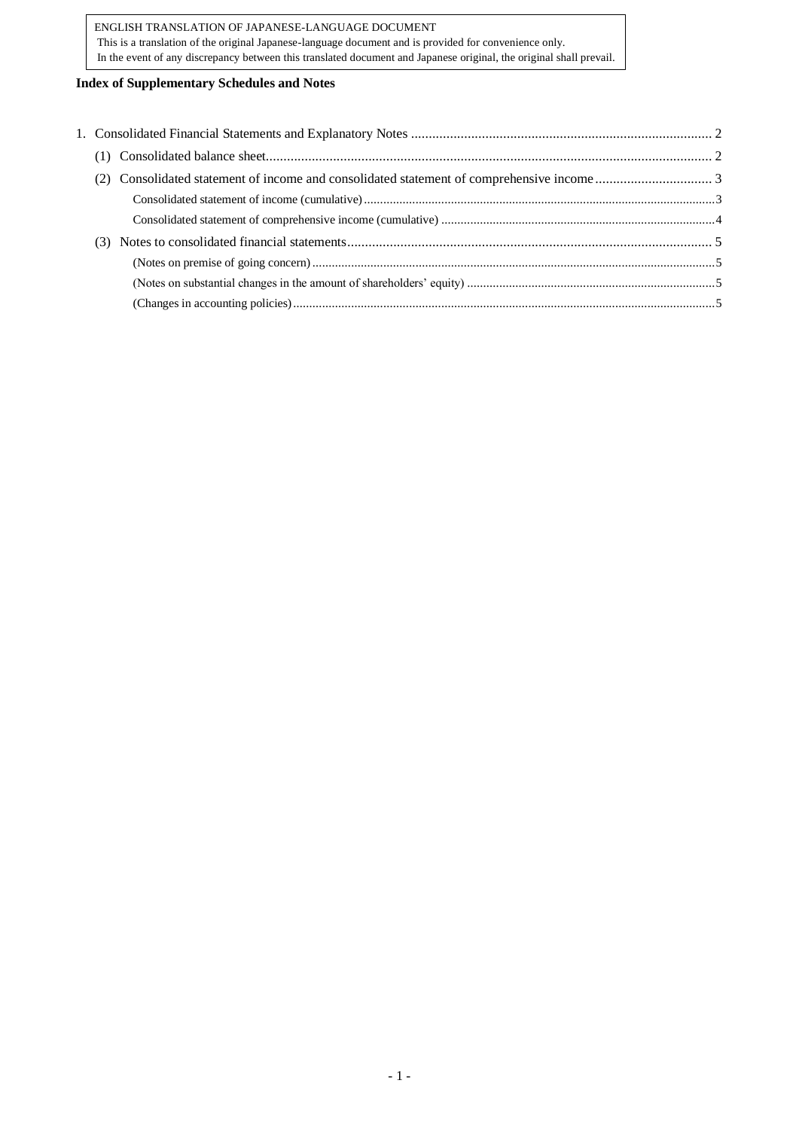### **Index of Supplementary Schedules and Notes**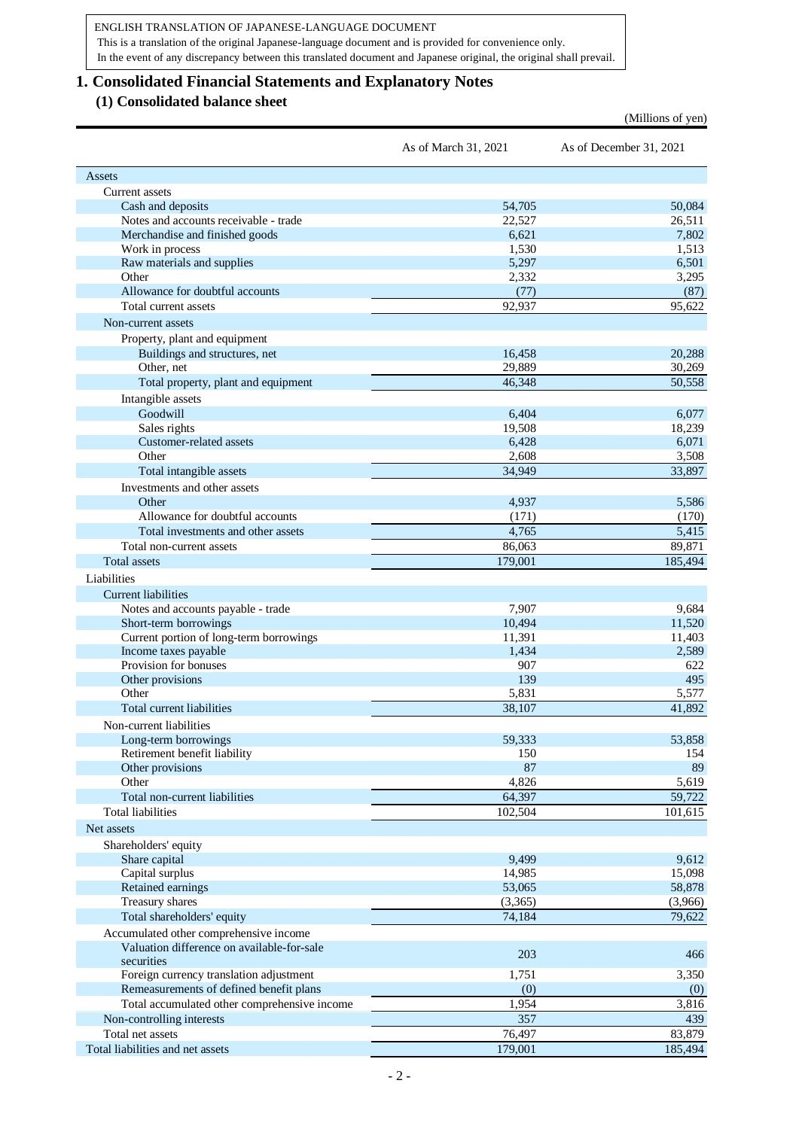<span id="page-4-1"></span>(Millions of yen)

## <span id="page-4-0"></span>**1. Consolidated Financial Statements and Explanatory Notes**

## **(1) Consolidated balance sheet**

|                                                                                      | As of March 31, 2021 | As of December 31, 2021 |
|--------------------------------------------------------------------------------------|----------------------|-------------------------|
| Assets                                                                               |                      |                         |
| Current assets                                                                       |                      |                         |
| Cash and deposits                                                                    | 54,705               | 50,084                  |
| Notes and accounts receivable - trade                                                | 22,527               | 26,511                  |
| Merchandise and finished goods                                                       | 6,621                | 7,802                   |
| Work in process                                                                      | 1,530                | 1,513                   |
| Raw materials and supplies                                                           | 5,297                | 6,501                   |
| Other                                                                                | 2,332                | 3,295                   |
| Allowance for doubtful accounts                                                      | (77)                 | (87)                    |
| Total current assets                                                                 | 92,937               | 95,622                  |
| Non-current assets                                                                   |                      |                         |
| Property, plant and equipment                                                        |                      |                         |
| Buildings and structures, net                                                        | 16,458               | 20,288                  |
| Other, net                                                                           | 29,889               | 30,269                  |
| Total property, plant and equipment                                                  | 46,348               | 50,558                  |
| Intangible assets                                                                    |                      |                         |
| Goodwill                                                                             | 6,404                | 6,077                   |
| Sales rights                                                                         | 19,508               | 18,239                  |
| Customer-related assets                                                              | 6,428                | 6,071                   |
| Other                                                                                | 2,608                | 3,508                   |
| Total intangible assets                                                              | 34.949               | 33,897                  |
| Investments and other assets                                                         |                      |                         |
| Other                                                                                | 4,937                | 5,586                   |
| Allowance for doubtful accounts                                                      | (171)                | (170)                   |
| Total investments and other assets                                                   | 4,765                | 5,415                   |
| Total non-current assets                                                             | 86,063               | 89,871                  |
| <b>Total assets</b>                                                                  | 179,001              | 185,494                 |
| Liabilities                                                                          |                      |                         |
|                                                                                      |                      |                         |
| <b>Current liabilities</b>                                                           | 7,907                | 9,684                   |
| Notes and accounts payable - trade                                                   | 10,494               | 11,520                  |
| Short-term borrowings                                                                | 11,391               | 11,403                  |
| Current portion of long-term borrowings<br>Income taxes payable                      | 1,434                | 2,589                   |
| Provision for bonuses                                                                | 907                  | 622                     |
| Other provisions                                                                     | 139                  | 495                     |
| Other                                                                                | 5,831                | 5,577                   |
| Total current liabilities                                                            | 38,107               | 41,892                  |
|                                                                                      |                      |                         |
| Non-current liabilities                                                              |                      |                         |
| Long-term borrowings                                                                 | 59,333               | 53,858                  |
| Retirement benefit liability                                                         | 150                  | 154                     |
| Other provisions<br>Other                                                            | 87<br>4,826          | 89                      |
| Total non-current liabilities                                                        |                      | 5,619                   |
|                                                                                      | 64,397               | 59,722                  |
| <b>Total liabilities</b>                                                             | 102,504              | 101,615                 |
| Net assets                                                                           |                      |                         |
| Shareholders' equity                                                                 |                      |                         |
| Share capital                                                                        | 9,499                | 9,612                   |
| Capital surplus                                                                      | 14,985               | 15,098                  |
| Retained earnings                                                                    | 53,065               | 58,878                  |
| Treasury shares                                                                      | (3,365)              | (3,966)                 |
| Total shareholders' equity                                                           | 74,184               | 79,622                  |
| Accumulated other comprehensive income<br>Valuation difference on available-for-sale |                      |                         |
| securities                                                                           | 203                  | 466                     |
| Foreign currency translation adjustment                                              | 1,751                | 3,350                   |
| Remeasurements of defined benefit plans                                              | (0)                  | (0)                     |
| Total accumulated other comprehensive income                                         | 1,954                | 3,816                   |
| Non-controlling interests                                                            | 357                  | 439                     |
| Total net assets                                                                     | 76,497               | 83,879                  |
| Total liabilities and net assets                                                     | 179,001              | 185,494                 |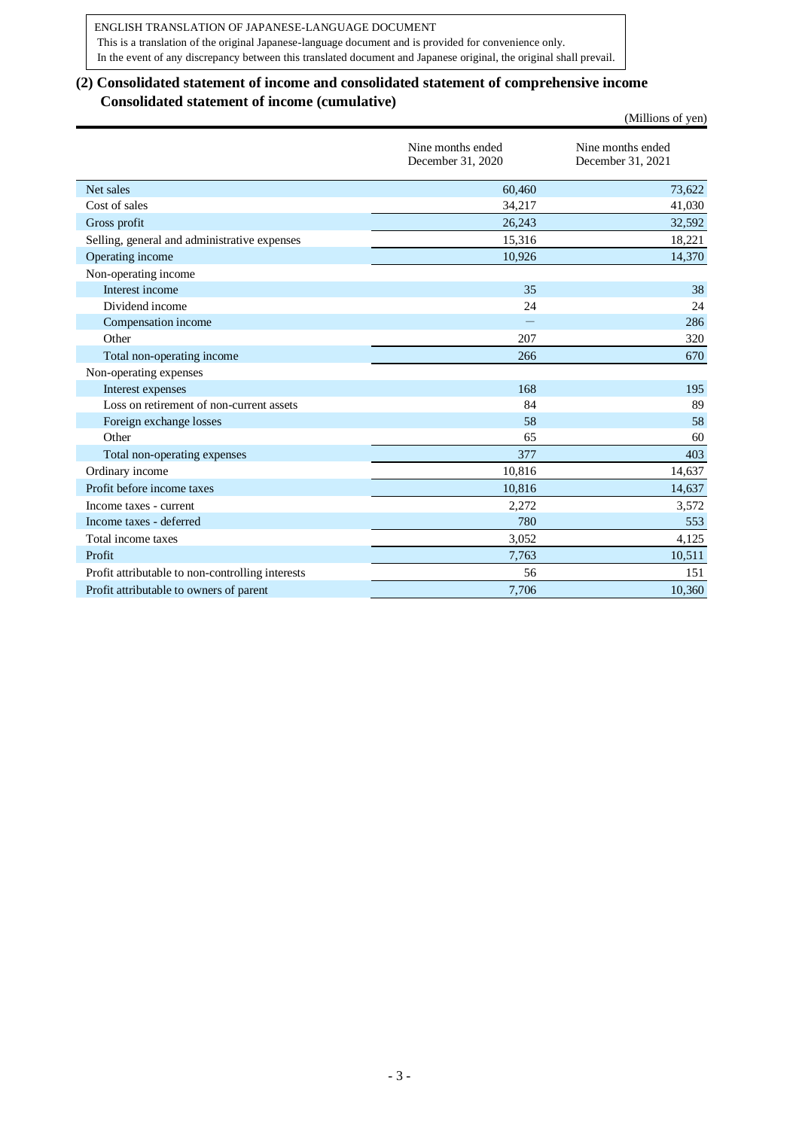# <span id="page-5-0"></span>**(2) Consolidated statement of income and consolidated statement of comprehensive income Consolidated statement of income (cumulative)**

<span id="page-5-1"></span>

|                                                  |                                        | (Millions of yen)                      |
|--------------------------------------------------|----------------------------------------|----------------------------------------|
|                                                  | Nine months ended<br>December 31, 2020 | Nine months ended<br>December 31, 2021 |
| Net sales                                        | 60.460                                 | 73,622                                 |
| Cost of sales                                    | 34,217                                 | 41,030                                 |
| Gross profit                                     | 26,243                                 | 32,592                                 |
| Selling, general and administrative expenses     | 15,316                                 | 18,221                                 |
| Operating income                                 | 10,926                                 | 14,370                                 |
| Non-operating income                             |                                        |                                        |
| Interest income                                  | 35                                     | 38                                     |
| Dividend income                                  | 24                                     | 24                                     |
| Compensation income                              |                                        | 286                                    |
| Other                                            | 207                                    | 320                                    |
| Total non-operating income                       | 266                                    | 670                                    |
| Non-operating expenses                           |                                        |                                        |
| Interest expenses                                | 168                                    | 195                                    |
| Loss on retirement of non-current assets         | 84                                     | 89                                     |
| Foreign exchange losses                          | 58                                     | 58                                     |
| Other                                            | 65                                     | 60                                     |
| Total non-operating expenses                     | 377                                    | 403                                    |
| Ordinary income                                  | 10,816                                 | 14,637                                 |
| Profit before income taxes                       | 10,816                                 | 14,637                                 |
| Income taxes - current                           | 2,272                                  | 3,572                                  |
| Income taxes - deferred                          | 780                                    | 553                                    |
| Total income taxes                               | 3,052                                  | 4,125                                  |
| Profit                                           | 7,763                                  | 10,511                                 |
| Profit attributable to non-controlling interests | 56                                     | 151                                    |
| Profit attributable to owners of parent          | 7,706                                  | 10,360                                 |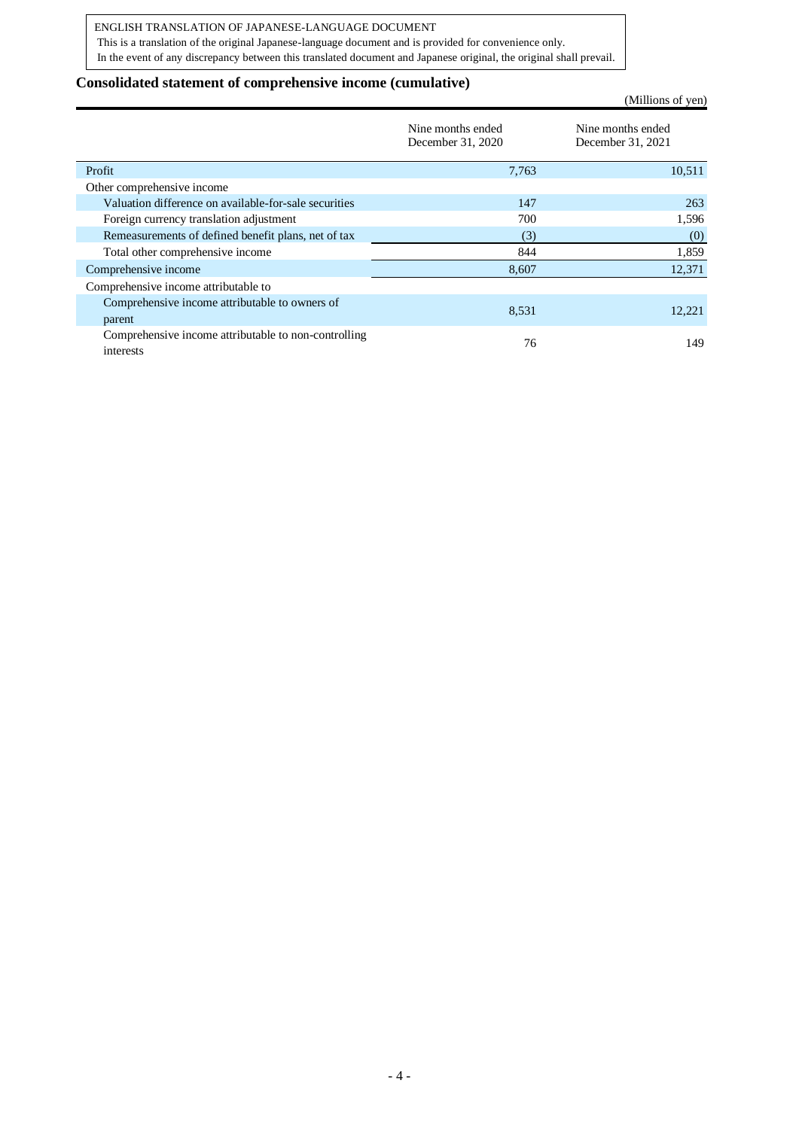### ENGLISH TRANSLATION OF JAPANESE-LANGUAGE DOCUMENT

This is a translation of the original Japanese-language document and is provided for convenience only. In the event of any discrepancy between this translated document and Japanese original, the original shall prevail.

### <span id="page-6-0"></span>**Consolidated statement of comprehensive income (cumulative)**

(Millions of yen)

|                                                                   | Nine months ended<br>December 31, 2020 | Nine months ended<br>December 31, 2021 |
|-------------------------------------------------------------------|----------------------------------------|----------------------------------------|
| Profit                                                            | 7,763                                  | 10,511                                 |
| Other comprehensive income                                        |                                        |                                        |
| Valuation difference on available-for-sale securities             | 147                                    | 263                                    |
| Foreign currency translation adjustment                           | 700                                    | 1,596                                  |
| Remeasurements of defined benefit plans, net of tax               | (3)                                    | (0)                                    |
| Total other comprehensive income                                  | 844                                    | 1,859                                  |
| Comprehensive income                                              | 8,607                                  | 12,371                                 |
| Comprehensive income attributable to                              |                                        |                                        |
| Comprehensive income attributable to owners of<br>parent          | 8.531                                  | 12.221                                 |
| Comprehensive income attributable to non-controlling<br>interests | 76                                     | 149                                    |